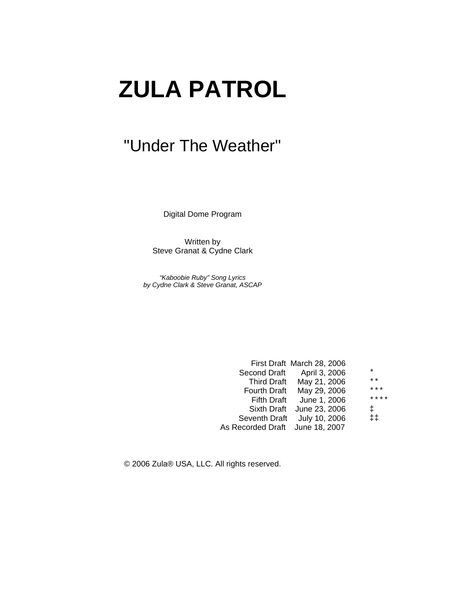# **ZULA PATROL**

# "Under The Weather"

Digital Dome Program

Written by Steve Granat & Cydne Clark

*"Kaboobie Ruby" Song Lyrics by Cydne Clark & Steve Granat, ASCAP* 

| $\ast$                                                                                                                                                                                                                                       |
|----------------------------------------------------------------------------------------------------------------------------------------------------------------------------------------------------------------------------------------------|
| $\star\star$                                                                                                                                                                                                                                 |
| $***$                                                                                                                                                                                                                                        |
| ****                                                                                                                                                                                                                                         |
| $\ddagger$                                                                                                                                                                                                                                   |
| $\ddagger$ $\ddagger$                                                                                                                                                                                                                        |
|                                                                                                                                                                                                                                              |
| First Draft March 28, 2006<br>Second Draft April 3, 2006<br>Third Draft May 21, 2006<br>Fourth Draft May 29, 2006<br>Fifth Draft June 1, 2006<br>Sixth Draft June 23, 2006<br>Seventh Draft July 10, 2006<br>As Recorded Draft June 18, 2007 |

© 2006 Zula® USA, LLC. All rights reserved.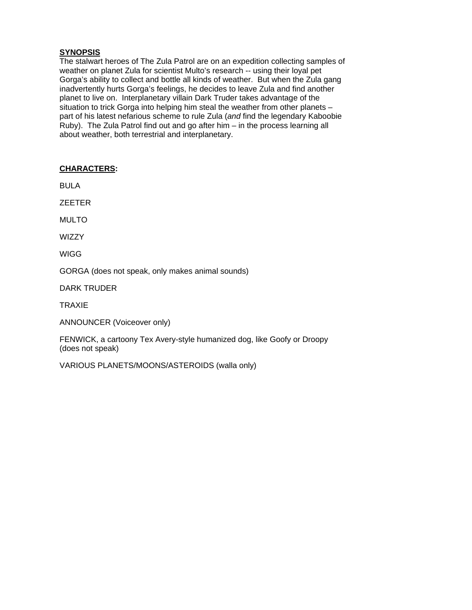# **SYNOPSIS**

The stalwart heroes of The Zula Patrol are on an expedition collecting samples of weather on planet Zula for scientist Multo's research -- using their loyal pet Gorga's ability to collect and bottle all kinds of weather. But when the Zula gang inadvertently hurts Gorga's feelings, he decides to leave Zula and find another planet to live on. Interplanetary villain Dark Truder takes advantage of the situation to trick Gorga into helping him steal the weather from other planets – part of his latest nefarious scheme to rule Zula (*and* find the legendary Kaboobie Ruby). The Zula Patrol find out and go after him – in the process learning all about weather, both terrestrial and interplanetary.

# **CHARACTERS:**

BULA

ZEETER

MULTO

**WIZZY** 

WIGG

GORGA (does not speak, only makes animal sounds)

DARK TRUDER

TRAXIE

ANNOUNCER (Voiceover only)

FENWICK, a cartoony Tex Avery-style humanized dog, like Goofy or Droopy (does not speak)

VARIOUS PLANETS/MOONS/ASTEROIDS (walla only)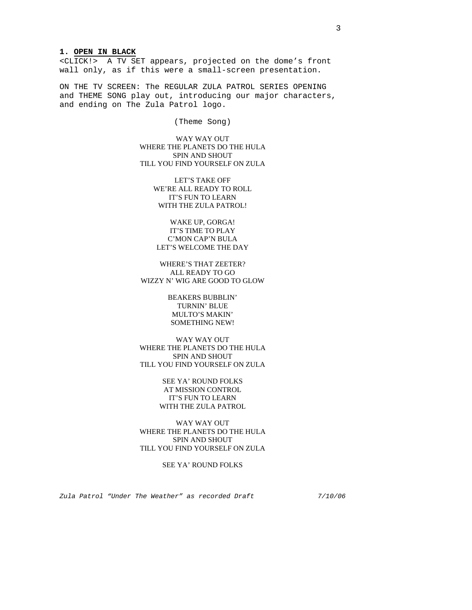# **1. OPEN IN BLACK**

<CLICK!> A TV SET appears, projected on the dome's front wall only, as if this were a small-screen presentation.

ON THE TV SCREEN: The REGULAR ZULA PATROL SERIES OPENING and THEME SONG play out, introducing our major characters, and ending on The Zula Patrol logo.

(Theme Song)

WAY WAY OUT WHERE THE PLANETS DO THE HULA SPIN AND SHOUT TILL YOU FIND YOURSELF ON ZULA

> LET'S TAKE OFF WE'RE ALL READY TO ROLL IT'S FUN TO LEARN WITH THE ZULA PATROL!

WAKE UP, GORGA! IT'S TIME TO PLAY C'MON CAP'N BULA LET'S WELCOME THE DAY

WHERE'S THAT ZEETER? ALL READY TO GO WIZZY N' WIG ARE GOOD TO GLOW

> BEAKERS BUBBLIN' TURNIN' BLUE MULTO'S MAKIN' SOMETHING NEW!

WAY WAY OUT WHERE THE PLANETS DO THE HULA SPIN AND SHOUT TILL YOU FIND YOURSELF ON ZULA

> SEE YA' ROUND FOLKS AT MISSION CONTROL IT'S FUN TO LEARN WITH THE ZULA PATROL

WAY WAY OUT WHERE THE PLANETS DO THE HULA SPIN AND SHOUT TILL YOU FIND YOURSELF ON ZULA

SEE YA' ROUND FOLKS

*Zula Patrol "Under The Weather" as recorded Draft 7/10/06*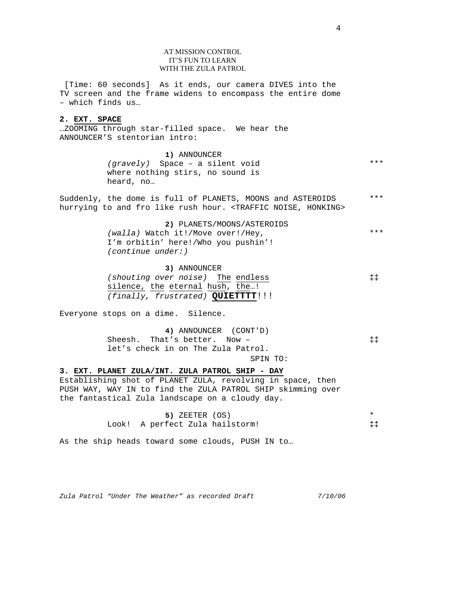# AT MISSION CONTROL IT'S FUN TO LEARN WITH THE ZULA PATROL

 [Time: 60 seconds] As it ends, our camera DIVES into the TV screen and the frame widens to encompass the entire dome – which finds us…

#### **2. EXT. SPACE**

…ZOOMING through star-filled space. We hear the ANNOUNCER'S stentorian intro:

> **1)** ANNOUNCER *(gravely)* Space – a silent void where nothing stirs, no sound is heard, no…

Suddenly, the dome is full of PLANETS, MOONS and ASTEROIDS hurrying to and fro like rush hour. <TRAFFIC NOISE, HONKING> \*\*\*

> **2)** PLANETS/MOONS/ASTEROIDS *(walla)* Watch it!/Move over!/Hey, I'm orbitin' here!/Who you pushin'! *(continue under:)*  \*\*\*

**3)** ANNOUNCER *(shouting over noise)* The endless silence, the eternal hush, the…! *(finally, frustrated)* **QUIETTTT**!!! ‡‡

Everyone stops on a dime. Silence.

| 4) ANNOUNCER (CONT'D)              |                       |
|------------------------------------|-----------------------|
| Sheesh. That's better. Now -       | $\ddagger$ $\ddagger$ |
| let's check in on The Zula Patrol. |                       |
|                                    | SPIN TO:              |

**3. EXT. PLANET ZULA/INT. ZULA PATROL SHIP - DAY** Establishing shot of PLANET ZULA, revolving in space, then PUSH WAY, WAY IN to find the ZULA PATROL SHIP skimming over the fantastical Zula landscape on a cloudy day.

> **5)** ZEETER (OS) Look! A perfect Zula hailstorm! \* ‡‡

As the ship heads toward some clouds, PUSH IN to…

*Zula Patrol "Under The Weather" as recorded Draft 7/10/06*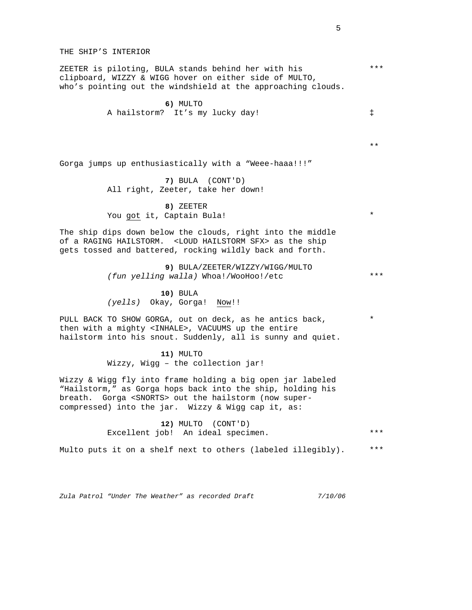*Zula Patrol "Under The Weather" as recorded Draft 7/10/06*  THE SHIP'S INTERIOR ZEETER is piloting, BULA stands behind her with his clipboard, WIZZY & WIGG hover on either side of MULTO, who's pointing out the windshield at the approaching clouds. **6)** MULTO A hailstorm? It's my lucky day! Gorga jumps up enthusiastically with a "Weee-haaa!!!" **7)** BULA (CONT'D) All right, Zeeter, take her down! **8)** ZEETER You got it, Captain Bula! The ship dips down below the clouds, right into the middle of a RAGING HAILSTORM. <LOUD HAILSTORM SFX> as the ship gets tossed and battered, rocking wildly back and forth. **9)** BULA/ZEETER/WIZZY/WIGG/MULTO *(fun yelling walla)* Whoa!/WooHoo!/etc **10)** BULA *(yells)* Okay, Gorga! Now!! PULL BACK TO SHOW GORGA, out on deck, as he antics back, then with a mighty <INHALE>, VACUUMS up the entire hailstorm into his snout. Suddenly, all is sunny and quiet. **11)** MULTO Wizzy, Wigg – the collection jar! Wizzy & Wigg fly into frame holding a big open jar labeled "Hailstorm," as Gorga hops back into the ship, holding his breath. Gorga <SNORTS> out the hailstorm (now supercompressed) into the jar. Wizzy & Wigg cap it, as: **12)** MULTO (CONT'D) Excellent job! An ideal specimen. Multo puts it on a shelf next to others (labeled illegibly). ‡ \* \* \*\*\* \*\*\* \*\*\* \*\*\* \*\*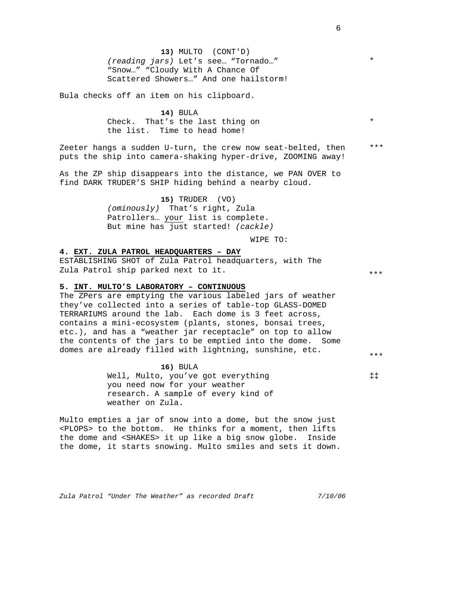**13)** MULTO (CONT'D) *(reading jars)* Let's see… "Tornado…" "Snow…" "Cloudy With A Chance Of Scattered Showers…" And one hailstorm!

Bula checks off an item on his clipboard.

**14)** BULA Check. That's the last thing on the list. Time to head home!

Zeeter hangs a sudden U-turn, the crew now seat-belted, then puts the ship into camera-shaking hyper-drive, ZOOMING away!

As the ZP ship disappears into the distance, we PAN OVER to find DARK TRUDER'S SHIP hiding behind a nearby cloud.

> **15)** TRUDER (VO) *(ominously)* That's right, Zula Patrollers… your list is complete. But mine has just started! *(cackle)*

> > WIPE TO:

# **4. EXT. ZULA PATROL HEADQUARTERS – DAY**

ESTABLISHING SHOT of Zula Patrol headquarters, with The Zula Patrol ship parked next to it.

#### **5. INT. MULTO'S LABORATORY – CONTINUOUS**

The ZPers are emptying the various labeled jars of weather they've collected into a series of table-top GLASS-DOMED TERRARIUMS around the lab. Each dome is 3 feet across, contains a mini-ecosystem (plants, stones, bonsai trees, etc.), and has a "weather jar receptacle" on top to allow the contents of the jars to be emptied into the dome. Some domes are already filled with lightning, sunshine, etc.

**16)** BULA

Well, Multo, you've got everything you need now for your weather research. A sample of every kind of weather on Zula.

Multo empties a jar of snow into a dome, but the snow just <PLOPS> to the bottom. He thinks for a moment, then lifts the dome and <SHAKES> it up like a big snow globe. Inside the dome, it starts snowing. Multo smiles and sets it down.

*Zula Patrol "Under The Weather" as recorded Draft 7/10/06* 

\*

\*

\*\*\*

\*\*\*

\*\*\*

‡‡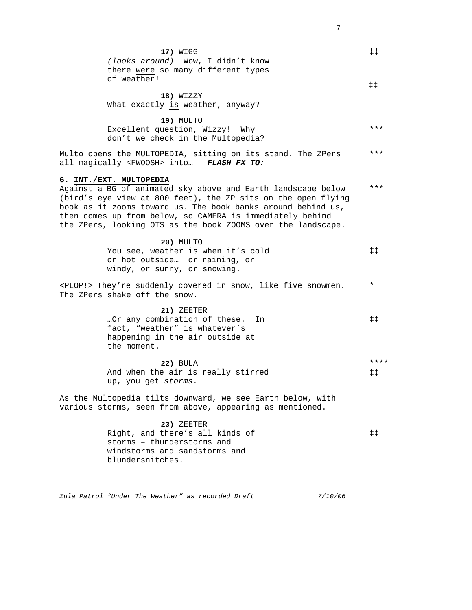| 17) WIGG<br>(looks around) Wow, I didn't know<br>there were so many different types                                                                                                                                                                                                                                                                   | $\ddagger \ddagger$           |
|-------------------------------------------------------------------------------------------------------------------------------------------------------------------------------------------------------------------------------------------------------------------------------------------------------------------------------------------------------|-------------------------------|
| of weather!<br>18) WIZZY<br>What exactly is weather, anyway?                                                                                                                                                                                                                                                                                          | $\ddagger$ $\ddagger$         |
| <b>19) MULTO</b><br>Excellent question, Wizzy! Why<br>don't we check in the Multopedia?                                                                                                                                                                                                                                                               | $***$                         |
| Multo opens the MULTOPEDIA, sitting on its stand. The ZPers<br>all magically <fwoosh> into FLASH FX TO:</fwoosh>                                                                                                                                                                                                                                      | $***$                         |
| 6. INT./EXT. MULTOPEDIA<br>Against a BG of animated sky above and Earth landscape below<br>(bird's eye view at 800 feet), the ZP sits on the open flying<br>book as it zooms toward us. The book banks around behind us,<br>then comes up from below, so CAMERA is immediately behind<br>the ZPers, looking OTS as the book ZOOMS over the landscape. | $***$                         |
| 20) MULTO<br>You see, weather is when it's cold<br>or hot outside or raining, or<br>windy, or sunny, or snowing.                                                                                                                                                                                                                                      | $\ddagger$ $\ddagger$         |
| <plop!> They're suddenly covered in snow, like five snowmen.<br/>The ZPers shake off the snow.</plop!>                                                                                                                                                                                                                                                | $^\star$                      |
| 21) ZEETER<br>Or any combination of these.<br>In<br>fact, "weather" is whatever's<br>happening in the air outside at<br>the moment.                                                                                                                                                                                                                   | $\ddagger$ $\ddagger$         |
| <b>22) BULA</b><br>And when the air is really stirred<br>up, you get storms.                                                                                                                                                                                                                                                                          | ****<br>$\ddagger$ $\ddagger$ |
| As the Multopedia tilts downward, we see Earth below, with<br>various storms, seen from above, appearing as mentioned.                                                                                                                                                                                                                                |                               |
| 23) ZEETER<br>Right, and there's all kinds of<br>storms - thunderstorms and<br>windstorms and sandstorms and<br>blundersnitches.                                                                                                                                                                                                                      | $\ddagger$ $\ddagger$         |
| Zula Patrol "Under The Weather" as recorded Draft<br>7/10/06                                                                                                                                                                                                                                                                                          |                               |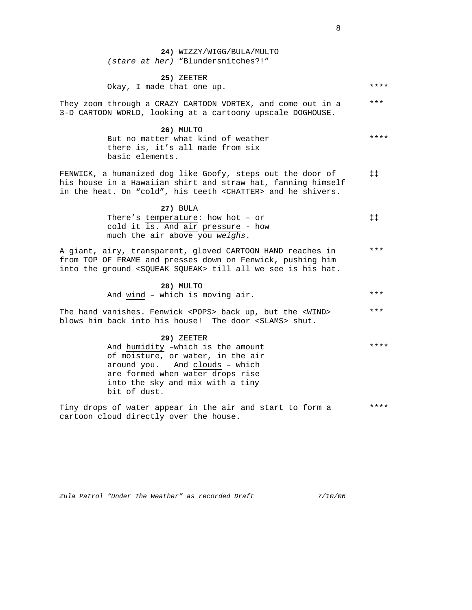**24)** WIZZY/WIGG/BULA/MULTO *(stare at her)* "Blundersnitches?!"

**25)** ZEETER Okay, I made that one up. \*\*\*\*

They zoom through a CRAZY CARTOON VORTEX, and come out in a 3-D CARTOON WORLD, looking at a cartoony upscale DOGHOUSE. \*\*\*

> **26)** MULTO But no matter what kind of weather there is, it's all made from six basic elements. \*\*\*\*

FENWICK, a humanized dog like Goofy, steps out the door of his house in a Hawaiian shirt and straw hat, fanning himself in the heat. On "cold", his teeth <CHATTER> and he shivers. ‡‡

> **27)** BULA There's temperature: how hot – or cold it is. And air pressure - how much the air above you *weighs*. ‡‡

A giant, airy, transparent, gloved CARTOON HAND reaches in from TOP OF FRAME and presses down on Fenwick, pushing him into the ground <SQUEAK SQUEAK> till all we see is his hat. \*\*\*

> **28)** MULTO And wind – which is moving air. \*\*\*

The hand vanishes. Fenwick <POPS> back up, but the <WIND> blows him back into his house! The door <SLAMS> shut. \*\*\*

**29)** ZEETER

And humidity –which is the amount of moisture, or water, in the air around you. And clouds – which are formed when water drops rise into the sky and mix with a tiny bit of dust. \*\*\*\*

Tiny drops of water appear in the air and start to form a cartoon cloud directly over the house. \*\*\*\*

*Zula Patrol "Under The Weather" as recorded Draft 7/10/06*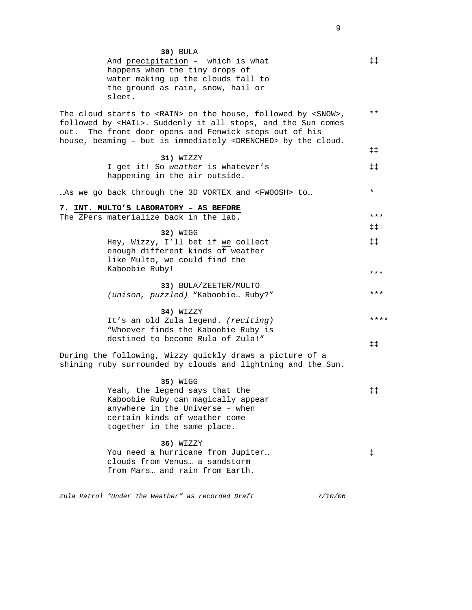| 30) BULA<br>And precipitation - which is what<br>happens when the tiny drops of<br>water making up the clouds fall to<br>the ground as rain, snow, hail or<br>sleet.                                                                                                                      |         | $\ddagger$                        |
|-------------------------------------------------------------------------------------------------------------------------------------------------------------------------------------------------------------------------------------------------------------------------------------------|---------|-----------------------------------|
| The cloud starts to <rain> on the house, followed by <snow>,<br/>followed by <hail>. Suddenly it all stops, and the Sun comes<br/>out. The front door opens and Fenwick steps out of his<br/>house, beaming - but is immediately <drenched> by the cloud.</drenched></hail></snow></rain> |         | $***$                             |
| 31) WIZZY<br>I get it! So weather is whatever's<br>happening in the air outside.                                                                                                                                                                                                          |         | $\ddagger \ddagger$<br>$\ddagger$ |
| As we go back through the 3D VORTEX and <fwoosh> to</fwoosh>                                                                                                                                                                                                                              |         | $\star$                           |
| 7. INT. MULTO'S LABORATORY - AS BEFORE<br>The ZPers materialize back in the lab.                                                                                                                                                                                                          |         | ***                               |
| 32) WIGG<br>Hey, Wizzy, I'll bet if we collect<br>enough different kinds of weather<br>like Multo, we could find the                                                                                                                                                                      |         | ‡‡<br>$\ddagger$                  |
| Kaboobie Ruby!                                                                                                                                                                                                                                                                            |         | * * *                             |
| 33) BULA/ZEETER/MULTO<br>(unison, puzzled) "Kaboobie Ruby?"                                                                                                                                                                                                                               |         | ***                               |
| 34) WIZZY<br>It's an old Zula legend. (reciting)<br>"Whoever finds the Kaboobie Ruby is<br>destined to become Rula of Zula!"                                                                                                                                                              |         | ****                              |
| During the following, Wizzy quickly draws a picture of a<br>shining ruby surrounded by clouds and lightning and the Sun.                                                                                                                                                                  |         | ŧŧ.                               |
| 35) WIGG<br>Yeah, the legend says that the<br>Kaboobie Ruby can magically appear<br>anywhere in the Universe - when<br>certain kinds of weather come<br>together in the same place.                                                                                                       |         | ‡‡                                |
| 36) WIZZY<br>You need a hurricane from Jupiter<br>clouds from Venus a sandstorm<br>from Mars and rain from Earth.                                                                                                                                                                         |         | ŧ.                                |
| Zula Patrol "Under The Weather" as recorded Draft                                                                                                                                                                                                                                         | 7/10/06 |                                   |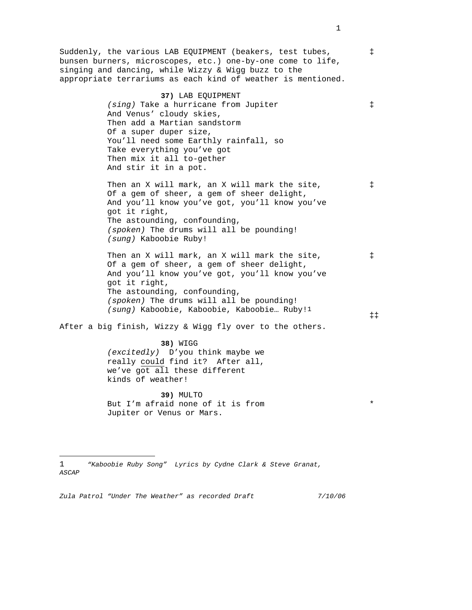Suddenly, the various LAB EQUIPMENT (beakers, test tubes, bunsen burners, microscopes, etc.) one-by-one come to life, singing and dancing, while Wizzy & Wigg buzz to the appropriate terrariums as each kind of weather is mentioned.

> **37)** LAB EQUIPMENT *(sing)* Take a hurricane from Jupiter And Venus' cloudy skies, Then add a Martian sandstorm Of a super duper size, You'll need some Earthly rainfall, so Take everything you've got Then mix it all to-gether And stir it in a pot.

Then an X will mark, an X will mark the site, Of a gem of sheer, a gem of sheer delight, And you'll know you've got, you'll know you've got it right, The astounding, confounding, *(spoken)* The drums will all be pounding! *(sung)* Kaboobie Ruby!

Then an X will mark, an X will mark the site, Of a gem of sheer, a gem of sheer delight, And you'll know you've got, you'll know you've got it right, The astounding, confounding, *(spoken)* The drums will all be pounding! *(sung)* Kaboobie, Kaboobie, Kaboobie… Ruby!1

After a big finish, Wizzy & Wigg fly over to the others.

**38)** WIGG *(excitedly)* D'you think maybe we really could find it? After all, we've got all these different kinds of weather!

**39)** MULTO But I'm afraid none of it is from Jupiter or Venus or Mars.

÷,

*Zula Patrol "Under The Weather" as recorded Draft 7/10/06* 

‡

‡

‡

\*

‡‡

‡

<sup>1</sup> *"Kaboobie Ruby Song" Lyrics by Cydne Clark & Steve Granat, ASCAP*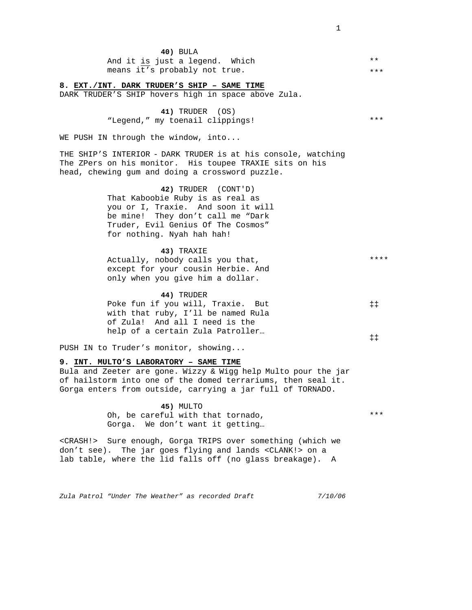| 40) BULA                       |              |
|--------------------------------|--------------|
| And it is just a legend. Which | $\star\star$ |
| means it's probably not true.  | ***          |

#### **8. EXT./INT. DARK TRUDER'S SHIP – SAME TIME**

DARK TRUDER'S SHIP hovers high in space above Zula.

**41)** TRUDER (OS) "Legend," my toenail clippings!

WE PUSH IN through the window, into...

THE SHIP'S INTERIOR - DARK TRUDER is at his console, watching The ZPers on his monitor. His toupee TRAXIE sits on his head, chewing gum and doing a crossword puzzle.

> **42)** TRUDER (CONT'D) That Kaboobie Ruby is as real as you or I, Traxie. And soon it will be mine! They don't call me "Dark Truder, Evil Genius Of The Cosmos" for nothing. Nyah hah hah!

#### **43)** TRAXIE

| Actually, nobody calls you that,   | **** |
|------------------------------------|------|
| except for your cousin Herbie. And |      |
| only when you qive him a dollar.   |      |

#### **44)** TRUDER

| Poke fun if you will, Traxie. But  | $\ddagger$ $\ddagger$ |
|------------------------------------|-----------------------|
| with that ruby, I'll be named Rula |                       |
| of Zula! And all I need is the     |                       |
| help of a certain Zula Patroller   |                       |
|                                    | ± ±                   |

PUSH IN to Truder's monitor, showing...

#### **9. INT. MULTO'S LABORATORY – SAME TIME**

Bula and Zeeter are gone. Wizzy & Wigg help Multo pour the jar of hailstorm into one of the domed terrariums, then seal it. Gorga enters from outside, carrying a jar full of TORNADO.

> **45)** MULTO Oh, be careful with that tornado, Gorga. We don't want it getting…

<CRASH!> Sure enough, Gorga TRIPS over something (which we don't see). The jar goes flying and lands <CLANK!> on a lab table, where the lid falls off (no glass breakage). A

*Zula Patrol "Under The Weather" as recorded Draft 7/10/06* 

\*\*\*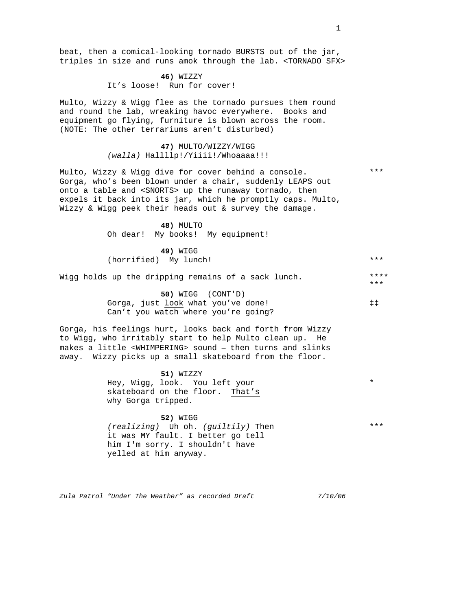beat, then a comical-looking tornado BURSTS out of the jar, triples in size and runs amok through the lab. <TORNADO SFX>

> **46)** WIZZY It's loose! Run for cover!

Multo, Wizzy & Wigg flee as the tornado pursues them round and round the lab, wreaking havoc everywhere. Books and equipment go flying, furniture is blown across the room. (NOTE: The other terrariums aren't disturbed)

> **47)** MULTO/WIZZY/WIGG *(walla)* Hallllp!/Yiiii!/Whoaaaa!!!

Multo, Wizzy & Wigg dive for cover behind a console. Gorga, who's been blown under a chair, suddenly LEAPS out onto a table and <SNORTS> up the runaway tornado, then expels it back into its jar, which he promptly caps. Multo, Wizzy & Wigg peek their heads out & survey the damage.

> **48)** MULTO Oh dear! My books! My equipment!

**49)** WIGG (horrified) My lunch! \*\*\*

Wigg holds up the dripping remains of a sack lunch.

**50)** WIGG (CONT'D) Gorga, just look what you've done! Can't you watch where you're going?

Gorga, his feelings hurt, looks back and forth from Wizzy to Wigg, who irritably start to help Multo clean up. He makes a little <WHIMPERING> sound – then turns and slinks away. Wizzy picks up a small skateboard from the floor.

> **51)** WIZZY Hey, Wigg, look. You left your skateboard on the floor. That's why Gorga tripped.

**52)** WIGG *(realizing)* Uh oh. *(guiltily)* Then it was MY fault. I better go tell him I'm sorry. I shouldn't have yelled at him anyway.

*Zula Patrol "Under The Weather" as recorded Draft 7/10/06* 

1

\*

\*\*\*

\*\*\*\* \*\*\*

‡‡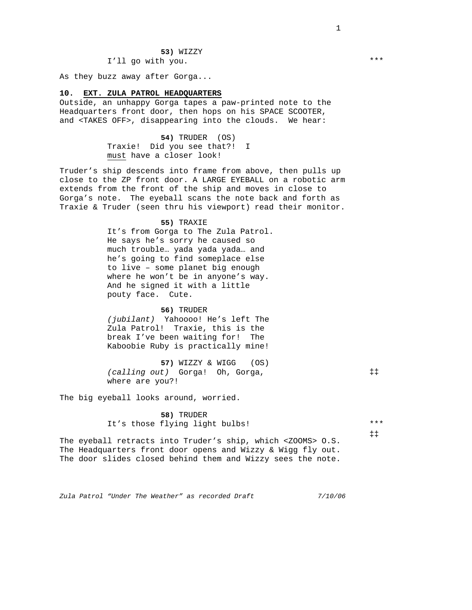#### **53)** WIZZY I'll go with you.

As they buzz away after Gorga...

#### **10. EXT. ZULA PATROL HEADQUARTERS**

Outside, an unhappy Gorga tapes a paw-printed note to the Headquarters front door, then hops on his SPACE SCOOTER, and <TAKES OFF>, disappearing into the clouds. We hear:

> **54)** TRUDER (OS) Traxie! Did you see that?! I must have a closer look!

Truder's ship descends into frame from above, then pulls up close to the ZP front door. A LARGE EYEBALL on a robotic arm extends from the front of the ship and moves in close to Gorga's note. The eyeball scans the note back and forth as Traxie & Truder (seen thru his viewport) read their monitor.

> **55)** TRAXIE It's from Gorga to The Zula Patrol. He says he's sorry he caused so much trouble… yada yada yada… and he's going to find someplace else to live – some planet big enough where he won't be in anyone's way. And he signed it with a little pouty face. Cute.

**56)** TRUDER *(jubilant)* Yahoooo! He's left The Zula Patrol! Traxie, this is the break I've been waiting for! The Kaboobie Ruby is practically mine!

**57)** WIZZY & WIGG (OS) *(calling out)* Gorga! Oh, Gorga, where are you?!

The big eyeball looks around, worried.

**58)** TRUDER It's those flying light bulbs!

\*\*\* ‡‡

‡‡

The eyeball retracts into Truder's ship, which <ZOOMS> O.S. The Headquarters front door opens and Wizzy & Wigg fly out. The door slides closed behind them and Wizzy sees the note.

*Zula Patrol "Under The Weather" as recorded Draft 7/10/06* 

1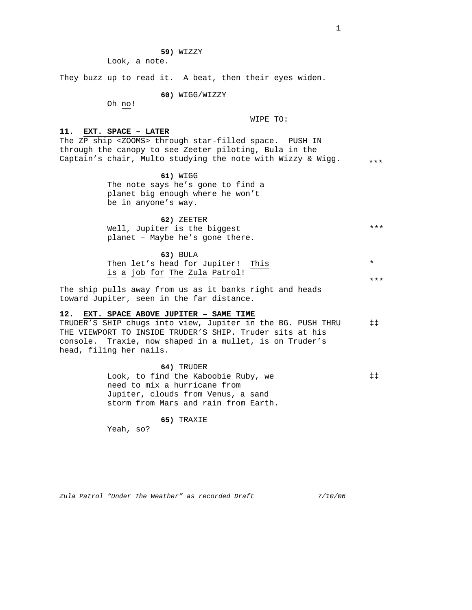**59)** WIZZY

Look, a note.

They buzz up to read it. A beat, then their eyes widen.

**60)** WIGG/WIZZY

Oh no!

WIPE TO:

#### **11. EXT. SPACE – LATER**

The ZP ship <ZOOMS> through star-filled space. PUSH IN through the canopy to see Zeeter piloting, Bula in the Captain's chair, Multo studying the note with Wizzy & Wigg. \*\*\*

> **61)** WIGG The note says he's gone to find a planet big enough where he won't be in anyone's way.

**62)** ZEETER Well, Jupiter is the biggest planet – Maybe he's gone there. \*\*\*

**63)** BULA Then let's head for Jupiter! This is a job for The Zula Patrol! \* \*\*\*

The ship pulls away from us as it banks right and heads toward Jupiter, seen in the far distance.

#### **12. EXT. SPACE ABOVE JUPITER – SAME TIME**

TRUDER'S SHIP chugs into view, Jupiter in the BG. PUSH THRU THE VIEWPORT TO INSIDE TRUDER'S SHIP. Truder sits at his console. Traxie, now shaped in a mullet, is on Truder's head, filing her nails. ‡‡

> **64)** TRUDER Look, to find the Kaboobie Ruby, we need to mix a hurricane from Jupiter, clouds from Venus, a sand storm from Mars and rain from Earth. ‡‡

> > **65)** TRAXIE

Yeah, so?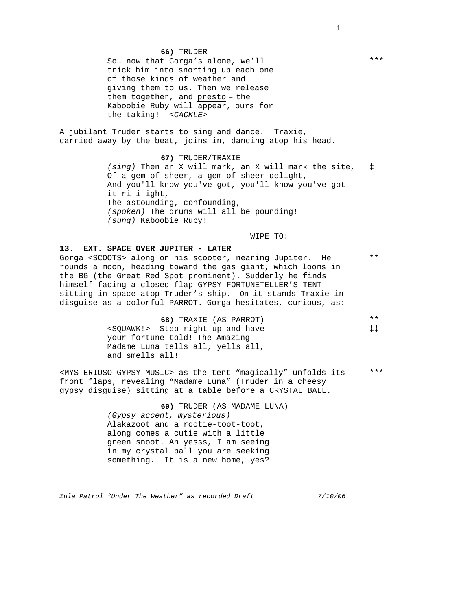#### **66)** TRUDER

So… now that Gorga's alone, we'll trick him into snorting up each one of those kinds of weather and giving them to us. Then we release them together, and presto – the Kaboobie Ruby will appear, ours for the taking! *<CACKLE>* 

A jubilant Truder starts to sing and dance*.* Traxie, carried away by the beat, joins in, dancing atop his head.

> **67)** TRUDER/TRAXIE *(sing)* Then an X will mark, an X will mark the site, Of a gem of sheer, a gem of sheer delight, And you'll know you've got, you'll know you've got it ri-i-ight, The astounding, confounding, *(spoken)* The drums will all be pounding! *(sung)* Kaboobie Ruby! ‡

> > WIPE TO:

#### **13. EXT. SPACE OVER JUPITER - LATER**

Gorga <SCOOTS> along on his scooter, nearing Jupiter. He rounds a moon, heading toward the gas giant, which looms in the BG (the Great Red Spot prominent). Suddenly he finds himself facing a closed-flap GYPSY FORTUNETELLER'S TENT sitting in space atop Truder's ship. On it stands Traxie in disguise as a colorful PARROT. Gorga hesitates, curious, as: \*\*

| 68) TRAXIE (AS PARROT)                     | $**$                  |
|--------------------------------------------|-----------------------|
| <souawk!> Step right up and have</souawk!> | $\ddagger$ $\ddagger$ |
| your fortune told! The Amazing             |                       |
| Madame Luna tells all, yells all,          |                       |
| and smells all!                            |                       |

<MYSTERIOSO GYPSY MUSIC> as the tent "magically" unfolds its front flaps, revealing "Madame Luna" (Truder in a cheesy gypsy disguise) sitting at a table before a CRYSTAL BALL. \*\*\*

> **69)** TRUDER (AS MADAME LUNA) *(Gypsy accent, mysterious)*  Alakazoot and a rootie-toot-toot, along comes a cutie with a little green snoot. Ah yesss, I am seeing in my crystal ball you are seeking something. It is a new home, yes?

*Zula Patrol "Under The Weather" as recorded Draft 7/10/06* 

1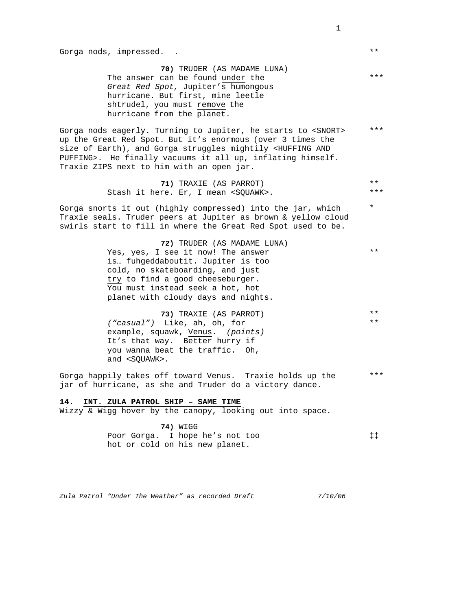**70)** TRUDER (AS MADAME LUNA) The answer can be found under the *Great Red Spot,* Jupiter's humongous hurricane. But first, mine leetle shtrudel, you must remove the hurricane from the planet.

Gorga nods eagerly. Turning to Jupiter, he starts to <SNORT> up the Great Red Spot. But it's enormous (over 3 times the size of Earth), and Gorga struggles mightily <HUFFING AND PUFFING>. He finally vacuums it all up, inflating himself. Traxie ZIPS next to him with an open jar. \*\*\*

> **71)** TRAXIE (AS PARROT) Stash it here. Er, I mean <SQUAWK>. \*\*\* \*\*

Gorga snorts it out (highly compressed) into the jar, which Traxie seals. Truder peers at Jupiter as brown & yellow cloud swirls start to fill in where the Great Red Spot used to be.

> **72)** TRUDER (AS MADAME LUNA) Yes, yes, I see it now! The answer is… fuhgeddaboutit. Jupiter is too cold, no skateboarding, and just try to find a good cheeseburger. You must instead seek a hot, hot planet with cloudy days and nights.

**73)** TRAXIE (AS PARROT) *("casual")* Like, ah, oh, for example, squawk, Venus. *(points)*  It's that way. Better hurry if you wanna beat the traffic. Oh, and <SQUAWK>.

Gorga happily takes off toward Venus. Traxie holds up the jar of hurricane, as she and Truder do a victory dance. \*\*\*

#### **14. INT. ZULA PATROL SHIP – SAME TIME**

Wizzy & Wigg hover by the canopy, looking out into space.

**74)** WIGG Poor Gorga. I hope he's not too hot or cold on his new planet. ‡‡

*Zula Patrol "Under The Weather" as recorded Draft 7/10/06* 

1

\*\*\*

\*\*

\*

\*\*

\*\* \*\*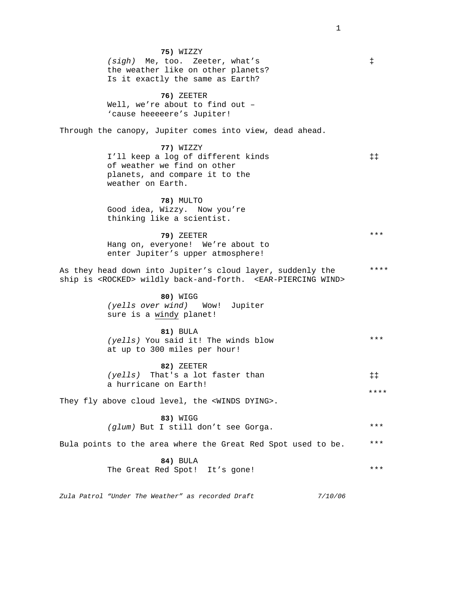*Zula Patrol "Under The Weather" as recorded Draft 7/10/06*  **75)** WIZZY *(sigh)* Me, too. Zeeter, what's the weather like on other planets? Is it exactly the same as Earth? **76)** ZEETER Well, we're about to find out – 'cause heeeeere's Jupiter! Through the canopy, Jupiter comes into view, dead ahead. **77)** WIZZY I'll keep a log of different kinds of weather we find on other planets, and compare it to the weather on Earth. **78)** MULTO Good idea, Wizzy. Now you're thinking like a scientist. **79)** ZEETER Hang on, everyone! We're about to enter Jupiter's upper atmosphere! As they head down into Jupiter's cloud layer, suddenly the ship is <ROCKED> wildly back-and-forth. <EAR-PIERCING WIND> **80)** WIGG *(yells over wind)* Wow! Jupiter sure is a windy planet! **81)** BULA *(yells)* You said it! The winds blow at up to 300 miles per hour! **82)** ZEETER *(yells)* That's a lot faster than a hurricane on Earth! They fly above cloud level, the <WINDS DYING>. **83)** WIGG *(glum)* But I still don't see Gorga. Bula points to the area where the Great Red Spot used to be. **84)** BULA The Great Red Spot! It's gone! \*\*\*\* ‡‡ \*\*\* \*\*\*\* \*\*\* \*\*\* \*\*\* \*\*\* ‡‡ ‡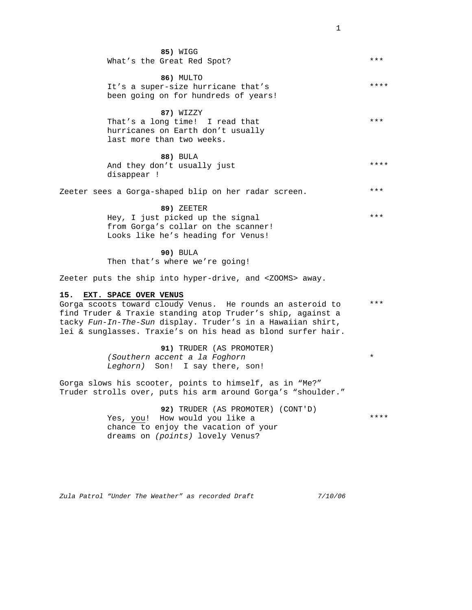|     | 85) WIGG<br>What's the Great Red Spot?                                                                                                                                                                                                                                            | ***     |
|-----|-----------------------------------------------------------------------------------------------------------------------------------------------------------------------------------------------------------------------------------------------------------------------------------|---------|
|     | 86) MULTO<br>It's a super-size hurricane that's<br>been going on for hundreds of years!                                                                                                                                                                                           | ****    |
|     | 87) WIZZY<br>That's a long time! I read that<br>hurricanes on Earth don't usually<br>last more than two weeks.                                                                                                                                                                    | ***     |
|     | 88) BULA<br>And they don't usually just<br>disappear !                                                                                                                                                                                                                            | ****    |
|     | Zeeter sees a Gorga-shaped blip on her radar screen.                                                                                                                                                                                                                              | $***$   |
|     | 89) ZEETER<br>Hey, I just picked up the signal<br>from Gorga's collar on the scanner!<br>Looks like he's heading for Venus!                                                                                                                                                       | ***     |
|     | <b>90) BULA</b><br>Then that's where we're going!                                                                                                                                                                                                                                 |         |
|     | Zeeter puts the ship into hyper-drive, and <zooms> away.</zooms>                                                                                                                                                                                                                  |         |
| 15. | EXT. SPACE OVER VENUS<br>Gorga scoots toward cloudy Venus. He rounds an asteroid to<br>find Truder & Traxie standing atop Truder's ship, against a<br>tacky Fun-In-The-Sun display. Truder's in a Hawaiian shirt,<br>lei & sunglasses. Traxie's on his head as blond surfer hair. | $***$   |
|     | <b>91) TRUDER (AS PROMOTER)</b><br>(Southern accent a la Foghorn<br>Leghorn) Son! I say there, son!                                                                                                                                                                               | $\star$ |
|     | Gorga slows his scooter, points to himself, as in "Me?"<br>Truder strolls over, puts his arm around Gorga's "shoulder."                                                                                                                                                           |         |
|     | 92) TRUDER (AS PROMOTER) (CONT'D)<br>Yes you' How would you like a                                                                                                                                                                                                                | ****    |

Yes, <u>you</u>! How would you like a chance to enjoy the vacation of your dreams on *(points)* lovely Venus?

*Zula Patrol "Under The Weather" as recorded Draft 7/10/06*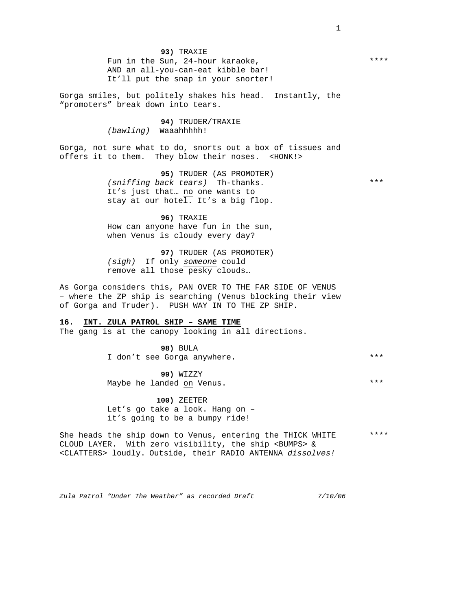**93)** TRAXIE Fun in the Sun, 24-hour karaoke, AND an all-you-can-eat kibble bar! It'll put the snap in your snorter!

Gorga smiles, but politely shakes his head. Instantly, the "promoters" break down into tears.

> **94)** TRUDER/TRAXIE *(bawling)* Waaahhhhh!

Gorga, not sure what to do, snorts out a box of tissues and offers it to them. They blow their noses. <HONK!>

> **95)** TRUDER (AS PROMOTER) *(sniffing back tears)* Th-thanks. It's just that… no one wants to stay at our hotel. It's a big flop.

**96)** TRAXIE How can anyone have fun in the sun, when Venus is cloudy every day?

**97)** TRUDER (AS PROMOTER) *(sigh)* If only *someone* could remove all those pesky clouds…

As Gorga considers this, PAN OVER TO THE FAR SIDE OF VENUS – where the ZP ship is searching (Venus blocking their view of Gorga and Truder). PUSH WAY IN TO THE ZP SHIP.

# **16. INT. ZULA PATROL SHIP – SAME TIME**

The gang is at the canopy looking in all directions.

**98)** BULA I don't see Gorga anywhere. \*\*\*

**99)** WIZZY Maybe he landed on Venus.

**100)** ZEETER Let's go take a look. Hang on – it's going to be a bumpy ride!

She heads the ship down to Venus, entering the THICK WHITE CLOUD LAYER. With zero visibility, the ship <BUMPS> & <CLATTERS> loudly. Outside, their RADIO ANTENNA *dissolves!* \*\*\*\*

*Zula Patrol "Under The Weather" as recorded Draft 7/10/06* 

1

\*\*\*

\*\*\*\*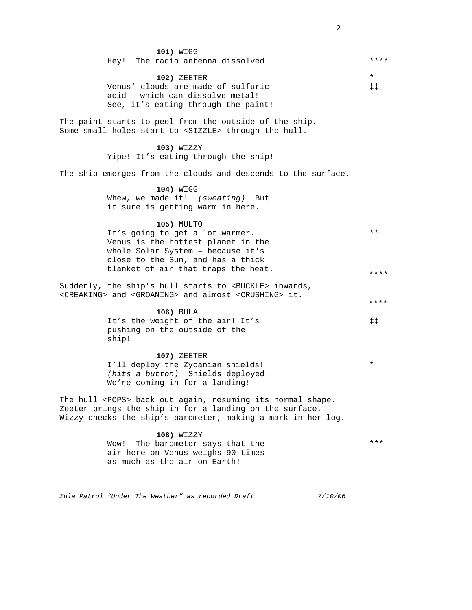*Zula Patrol "Under The Weather" as recorded Draft 7/10/06*  **101)** WIGG Hey! The radio antenna dissolved! **102)** ZEETER Venus' clouds are made of sulfuric acid – which can dissolve metal! See, it's eating through the paint! The paint starts to peel from the outside of the ship. Some small holes start to <SIZZLE> through the hull. **103)** WIZZY Yipe! It's eating through the ship! The ship emerges from the clouds and descends to the surface. **104)** WIGG Whew, we made it! *(sweating)* But it sure is getting warm in here. **105)** MULTO It's going to get a lot warmer. Venus is the hottest planet in the whole Solar System – because it's close to the Sun, and has a thick blanket of air that traps the heat. Suddenly, the ship's hull starts to <BUCKLE> inwards, <CREAKING> and <GROANING> and almost <CRUSHING> it. **106)** BULA It's the weight of the air! It's pushing on the outside of the ship! **107)** ZEETER I'll deploy the Zycanian shields! *(hits a button)* Shields deployed! We're coming in for a landing! The hull <POPS> back out again, resuming its normal shape. Zeeter brings the ship in for a landing on the surface. Wizzy checks the ship's barometer, making a mark in her log. **108)** WIZZY Wow! The barometer says that the air here on Venus weighs 90 times as much as the air on Earth! \* \* \*\* \*\*\* \*\*\*\* \*\*\*\* \*\*\*\* ‡‡ ‡‡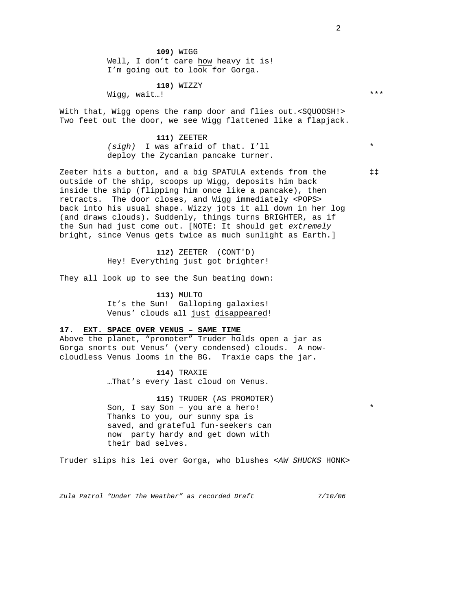**109)** WIGG Well, I don't care how heavy it is! I'm going out to look for Gorga.

**110)** WIZZY

Wigg, wait…!

With that, Wigg opens the ramp door and flies out.<SQUOOSH!> Two feet out the door, we see Wigg flattened like a flapjack.

#### **111)** ZEETER

*(sigh)* I was afraid of that. I'll deploy the Zycanian pancake turner.

Zeeter hits a button, and a big SPATULA extends from the outside of the ship, scoops up Wigg, deposits him back inside the ship (flipping him once like a pancake), then retracts. The door closes, and Wigg immediately <POPS> back into his usual shape. Wizzy jots it all down in her log (and draws clouds). Suddenly, things turns BRIGHTER, as if the Sun had just come out. [NOTE: It should get *extremely* bright, since Venus gets twice as much sunlight as Earth.]

> **112)** ZEETER (CONT'D) Hey! Everything just got brighter!

They all look up to see the Sun beating down:

**113)** MULTO It's the Sun! Galloping galaxies! Venus' clouds all just disappeared!

# **17. EXT. SPACE OVER VENUS – SAME TIME**

Above the planet, "promoter" Truder holds open a jar as Gorga snorts out Venus' (very condensed) clouds. A nowcloudless Venus looms in the BG. Traxie caps the jar.

> **114)** TRAXIE …That's every last cloud on Venus.

**115)** TRUDER (AS PROMOTER) Son, I say Son – you are a hero! Thanks to you, our sunny spa is saved, and grateful fun-seekers can now party hardy and get down with their bad selves.

Truder slips his lei over Gorga, who blushes <*AW SHUCKS* HONK>

*Zula Patrol "Under The Weather" as recorded Draft 7/10/06* 

2

‡‡

\*

\*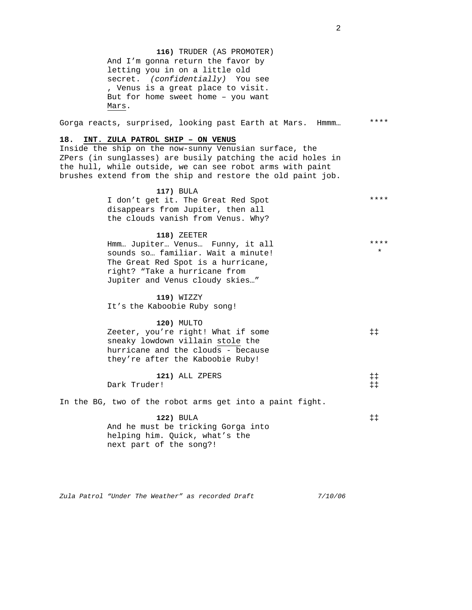**116)** TRUDER (AS PROMOTER) And I'm gonna return the favor by letting you in on a little old secret. *(confidentially)* You see , Venus is a great place to visit. But for home sweet home – you want Mars.

Gorga reacts, surprised, looking past Earth at Mars. Hmmm…

# **18. INT. ZULA PATROL SHIP – ON VENUS**

Inside the ship on the now-sunny Venusian surface, the ZPers (in sunglasses) are busily patching the acid holes in the hull, while outside, we can see robot arms with paint brushes extend from the ship and restore the old paint job.

> **117)** BULA I don't get it. The Great Red Spot disappears from Jupiter, then all the clouds vanish from Venus. Why? \*\*\*\*

> > **118)** ZEETER

| Hmm Jupiter Venus Funny, it all    | ****    |
|------------------------------------|---------|
| sounds so familiar. Wait a minute! | $\star$ |
| The Great Red Spot is a hurricane, |         |
| right? "Take a hurricane from      |         |
| Jupiter and Venus cloudy skies"    |         |

**119)** WIZZY It's the Kaboobie Ruby song!

| <b>120) MULTO</b>                  |             |
|------------------------------------|-------------|
| Zeeter, you're right! What if some | $\pm$ $\pm$ |
| sneaky lowdown villain stole the   |             |
| hurricane and the clouds - because |             |
| they're after the Kaboobie Ruby!   |             |

|              | 121) ALL ZPERS |  |
|--------------|----------------|--|
| Dark Truder! |                |  |

In the BG, two of the robot arms get into a paint fight.

**122)** BULA And he must be tricking Gorga into helping him. Quick, what's the next part of the song?! ‡‡

*Zula Patrol "Under The Weather" as recorded Draft 7/10/06* 

\*\*\*\*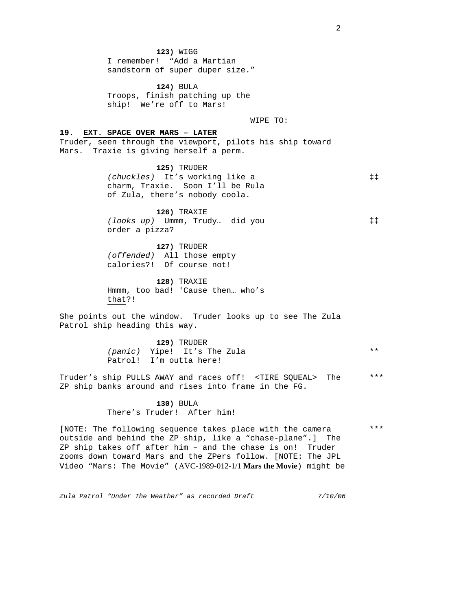**123)** WIGG I remember! "Add a Martian sandstorm of super duper size."

**124)** BULA Troops, finish patching up the ship! We're off to Mars!

WIPE TO:

#### **19. EXT. SPACE OVER MARS – LATER**

Truder, seen through the viewport, pilots his ship toward Mars. Traxie is giving herself a perm.

> **125)** TRUDER *(chuckles)* It's working like a charm, Traxie. Soon I'll be Rula of Zula, there's nobody coola. ‡‡

**126)** TRAXIE *(looks up)* Ummm, Trudy… did you order a pizza?

**127)** TRUDER *(offended)* All those empty calories?! Of course not!

**128)** TRAXIE Hmmm, too bad! 'Cause then… who's that?!

She points out the window. Truder looks up to see The Zula Patrol ship heading this way.

> **129)** TRUDER *(panic)* Yipe! It's The Zula Patrol! I'm outta here!

Truder's ship PULLS AWAY and races off! <TIRE SQUEAL> The ZP ship banks around and rises into frame in the FG. \*\*\*

> **130)** BULA There's Truder! After him!

[NOTE: The following sequence takes place with the camera outside and behind the ZP ship, like a "chase-plane".] The ZP ship takes off after him – and the chase is on! Truder zooms down toward Mars and the ZPers follow. [NOTE: The JPL Video "Mars: The Movie" (AVC-1989-012-1/1 **Mars the Movie**) might be

*Zula Patrol "Under The Weather" as recorded Draft 7/10/06* 

2

\*\*\*

\*\*

‡‡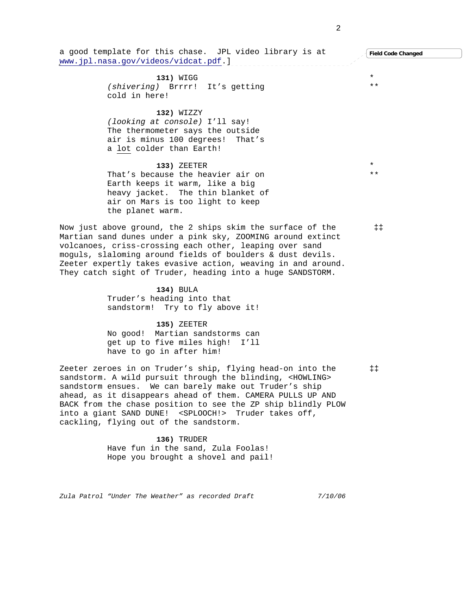a good template for this chase. JPL video library is at www.jpl.nasa.gov/videos/vidcat.pdf.] **131)** WIGG *(shivering)* Brrrr! It's getting cold in here! **132)** WIZZY *(looking at console)* I'll say! The thermometer says the outside air is minus 100 degrees! That's a lot colder than Earth! **133)** ZEETER That's because the heavier air on Earth keeps it warm, like a big heavy jacket. The thin blanket of air on Mars is too light to keep the planet warm. Now just above ground, the 2 ships skim the surface of the Martian sand dunes under a pink sky, ZOOMING around extinct volcanoes, criss-crossing each other, leaping over sand moguls, slaloming around fields of boulders & dust devils. Zeeter expertly takes evasive action, weaving in and around. They catch sight of Truder, heading into a huge SANDSTORM. **134)** BULA Truder's heading into that sandstorm! Try to fly above it! **135)** ZEETER No good! Martian sandstorms can get up to five miles high! I'll have to go in after him! Zeeter zeroes in on Truder's ship, flying head-on into the sandstorm. A wild pursuit through the blinding, <HOWLING> sandstorm ensues. We can barely make out Truder's ship ahead, as it disappears ahead of them. CAMERA PULLS UP AND BACK from the chase position to see the ZP ship blindly PLOW into a giant SAND DUNE! <SPLOOCH!> Truder takes off, cackling, flying out of the sandstorm. **136)** TRUDER Have fun in the sand, Zula Foolas! Hope you brought a shovel and pail! \* \* \*\* \*\* ‡‡ ‡‡ **Field Code Changed**

*Zula Patrol "Under The Weather" as recorded Draft 7/10/06*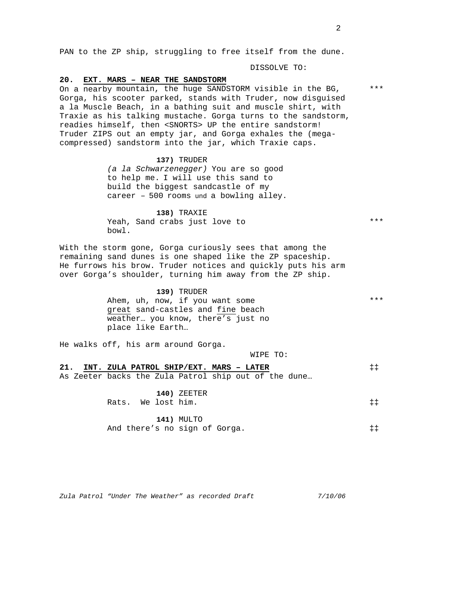PAN to the ZP ship, struggling to free itself from the dune.

DISSOLVE TO:

#### **20. EXT. MARS – NEAR THE SANDSTORM**

On a nearby mountain, the huge SANDSTORM visible in the BG, Gorga, his scooter parked, stands with Truder, now disguised a la Muscle Beach, in a bathing suit and muscle shirt, with Traxie as his talking mustache. Gorga turns to the sandstorm, readies himself, then <SNORTS> UP the entire sandstorm! Truder ZIPS out an empty jar, and Gorga exhales the (megacompressed) sandstorm into the jar, which Traxie caps.

#### **137)** TRUDER

*(a la Schwarzenegger)* You are so good to help me. I will use this sand to build the biggest sandcastle of my career – 500 rooms und a bowling alley.

**138)** TRAXIE Yeah, Sand crabs just love to bowl.

With the storm gone, Gorga curiously sees that among the remaining sand dunes is one shaped like the ZP spaceship. He furrows his brow. Truder notices and quickly puts his arm over Gorga's shoulder, turning him away from the ZP ship.

> **139)** TRUDER Ahem, uh, now, if you want some great sand-castles and fine beach weather… you know, there's just no place like Earth…

He walks off, his arm around Gorga.

WIPE TO:

|  |                    |  | 21. INT. ZULA PATROL SHIP/EXT. MARS - LATER          |  |  | $\ddagger \ddagger$   |
|--|--------------------|--|------------------------------------------------------|--|--|-----------------------|
|  |                    |  | As Zeeter backs the Zula Patrol ship out of the dune |  |  |                       |
|  | Rats. We lost him. |  | $140)$ ZEETER                                        |  |  | $\ddagger$ $\ddagger$ |
|  |                    |  | 141) MULTO                                           |  |  |                       |
|  |                    |  | And there's no sign of Gorga.                        |  |  | ‡‡                    |

\*\*\*

\*\*\*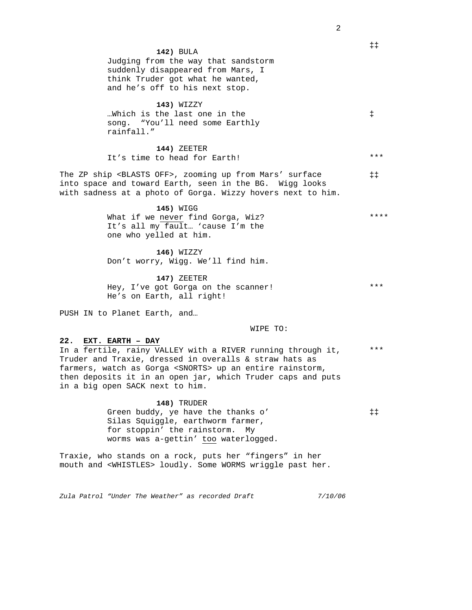|                                                                                                                                                                                                                                                                                                                        | $\ddagger \ddagger$ |
|------------------------------------------------------------------------------------------------------------------------------------------------------------------------------------------------------------------------------------------------------------------------------------------------------------------------|---------------------|
| 142) BULA<br>Judging from the way that sandstorm<br>suddenly disappeared from Mars, I<br>think Truder got what he wanted,<br>and he's off to his next stop.                                                                                                                                                            |                     |
| 143) WIZZY<br>Which is the last one in the<br>song. "You'll need some Earthly<br>rainfall."                                                                                                                                                                                                                            | $\ddagger$          |
| 144) ZEETER<br>It's time to head for Earth!                                                                                                                                                                                                                                                                            | ***                 |
| The ZP ship <blasts off="">, zooming up from Mars' surface<br/>into space and toward Earth, seen in the BG. Wigg looks<br/>with sadness at a photo of Gorga. Wizzy hovers next to him.</blasts>                                                                                                                        | $\ddagger \ddagger$ |
| 145) WIGG<br>What if we never find Gorga, Wiz?<br>It's all my fault 'cause I'm the<br>one who yelled at him.                                                                                                                                                                                                           | ****                |
| 146) WIZZY<br>Don't worry, Wigg. We'll find him.                                                                                                                                                                                                                                                                       |                     |
| 147) ZEETER<br>Hey, I've got Gorga on the scanner!<br>He's on Earth, all right!                                                                                                                                                                                                                                        | ***                 |
| PUSH IN to Planet Earth, and                                                                                                                                                                                                                                                                                           |                     |
| WIPE TO:                                                                                                                                                                                                                                                                                                               |                     |
| 22. EXT. EARTH - DAY<br>In a fertile, rainy VALLEY with a RIVER running through it,<br>Truder and Traxie, dressed in overalls & straw hats as<br>farmers, watch as Gorga <snorts> up an entire rainstorm,<br/>then deposits it in an open jar, which Truder caps and puts<br/>in a big open SACK next to him.</snorts> | ***                 |
| 148) TRUDER<br>Green buddy, ye have the thanks o'<br>Silas Squiggle, earthworm farmer,<br>for stoppin' the rainstorm.<br>Мv<br>worms was a-gettin' too waterlogged.<br>Traxie, who stands on a rock, puts her "fingers" in her                                                                                         | $\ddagger \ddagger$ |
| mouth and <whistles> loudly. Some WORMS wriggle past her.</whistles>                                                                                                                                                                                                                                                   |                     |
|                                                                                                                                                                                                                                                                                                                        |                     |

*Zula Patrol "Under The Weather" as recorded Draft 7/10/06*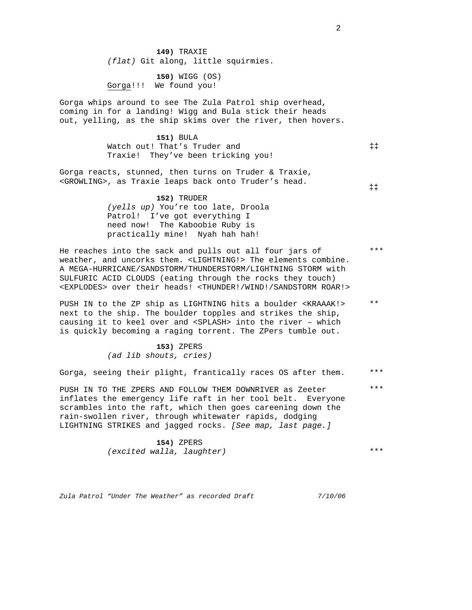**149)** TRAXIE *(flat)* Git along, little squirmies.

**150)** WIGG (OS) Gorga!!! We found you!

Gorga whips around to see The Zula Patrol ship overhead, coming in for a landing! Wigg and Bula stick their heads out, yelling, as the ship skims over the river, then hovers.

> **151)** BULA Watch out! That's Truder and Traxie! They've been tricking you!

Gorga reacts, stunned, then turns on Truder & Traxie, <GROWLING>, as Traxie leaps back onto Truder's head.

‡‡

‡‡

\*\*\*

**152)** TRUDER *(yells up)* You're too late, Droola Patrol! I've got everything I need now! The Kaboobie Ruby is practically mine! Nyah hah hah!

He reaches into the sack and pulls out all four jars of weather, and uncorks them. <LIGHTNING!> The elements combine. A MEGA-HURRICANE/SANDSTORM/THUNDERSTORM/LIGHTNING STORM with SULFURIC ACID CLOUDS (eating through the rocks they touch) <EXPLODES> over their heads! <THUNDER!/WIND!/SANDSTORM ROAR!>

PUSH IN to the ZP ship as LIGHTNING hits a boulder <KRAAAK!> next to the ship. The boulder topples and strikes the ship, causing it to keel over and <SPLASH> into the river – which is quickly becoming a raging torrent. The ZPers tumble out. \*\*

> **153)** ZPERS *(ad lib shouts, cries)*

Gorga, seeing their plight, frantically races OS after them. \*\*\*

PUSH IN TO THE ZPERS AND FOLLOW THEM DOWNRIVER as Zeeter inflates the emergency life raft in her tool belt. Everyone scrambles into the raft, which then goes careening down the rain-swollen river, through whitewater rapids, dodging LIGHTNING STRIKES and jagged rocks. *[See map, last page.]*  \*\*\*

> **154)** ZPERS *(excited walla, laughter)*

\*\*\*

*Zula Patrol "Under The Weather" as recorded Draft 7/10/06*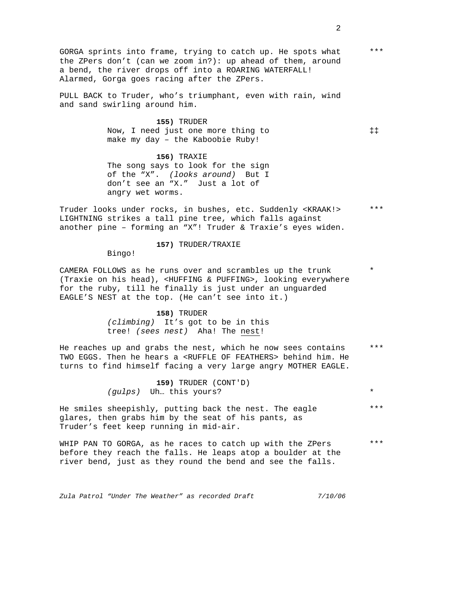GORGA sprints into frame, trying to catch up. He spots what the ZPers don't (can we zoom in?): up ahead of them, around a bend, the river drops off into a ROARING WATERFALL! Alarmed, Gorga goes racing after the ZPers. \*\*\*

PULL BACK to Truder, who's triumphant, even with rain, wind and sand swirling around him.

> **155)** TRUDER Now, I need just one more thing to make my day – the Kaboobie Ruby!

**156)** TRAXIE The song says to look for the sign of the "X". *(looks around)* But I don't see an "X." Just a lot of angry wet worms.

Truder looks under rocks, in bushes, etc. Suddenly <KRAAK!> LIGHTNING strikes a tall pine tree, which falls against another pine – forming an "X"! Truder & Traxie's eyes widen. \*\*\*

**157)** TRUDER/TRAXIE

Bingo!

CAMERA FOLLOWS as he runs over and scrambles up the trunk (Traxie on his head), <HUFFING & PUFFING>, looking everywhere for the ruby, till he finally is just under an unguarded EAGLE'S NEST at the top. (He can't see into it.)

> **158)** TRUDER *(climbing)* It's got to be in this tree! *(sees nest)* Aha! The nest!

He reaches up and grabs the nest, which he now sees contains TWO EGGS. Then he hears a <RUFFLE OF FEATHERS> behind him. He turns to find himself facing a very large angry MOTHER EAGLE. \*\*\*

> **159)** TRUDER (CONT'D) *(gulps)* Uh… this yours?

He smiles sheepishly, putting back the nest. The eagle glares, then grabs him by the seat of his pants, as Truder's feet keep running in mid-air. \*\*\*

WHIP PAN TO GORGA, as he races to catch up with the ZPers before they reach the falls. He leaps atop a boulder at the river bend, just as they round the bend and see the falls. \*\*\*

*Zula Patrol "Under The Weather" as recorded Draft 7/10/06* 

‡‡

\*

\*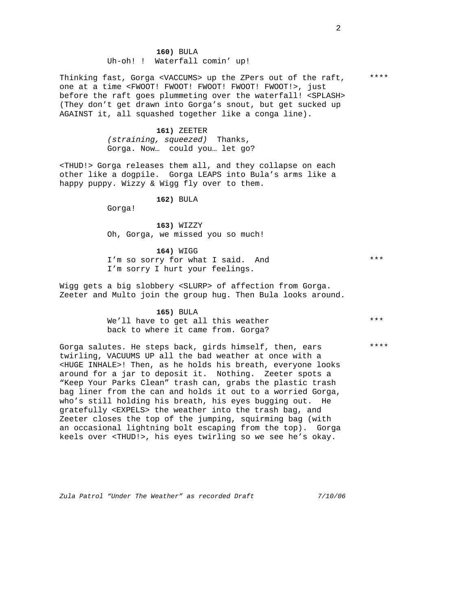**160)** BULA Uh-oh! ! Waterfall comin' up!

Thinking fast, Gorga <VACCUMS> up the ZPers out of the raft, one at a time <FWOOT! FWOOT! FWOOT! FWOOT! FWOOT!>, just before the raft goes plummeting over the waterfall! <SPLASH> (They don't get drawn into Gorga's snout, but get sucked up AGAINST it, all squashed together like a conga line).

> **161)** ZEETER *(straining, squeezed)* Thanks, Gorga. Now… could you… let go?

<THUD!> Gorga releases them all, and they collapse on each other like a dogpile. Gorga LEAPS into Bula's arms like a happy puppy. Wizzy & Wigg fly over to them.

**162)** BULA

Gorga!

**163)** WIZZY Oh, Gorga, we missed you so much!

**164)** WIGG I'm so sorry for what I said. And I'm sorry I hurt your feelings.

Wigg gets a big slobbery <SLURP> of affection from Gorga. Zeeter and Multo join the group hug. Then Bula looks around.

> **165)** BULA We'll have to get all this weather back to where it came from. Gorga?

Gorga salutes. He steps back, girds himself, then, ears twirling, VACUUMS UP all the bad weather at once with a <HUGE INHALE>! Then, as he holds his breath, everyone looks around for a jar to deposit it. Nothing. Zeeter spots a "Keep Your Parks Clean" trash can, grabs the plastic trash bag liner from the can and holds it out to a worried Gorga, who's still holding his breath, his eyes bugging out. He gratefully <EXPELS> the weather into the trash bag, and Zeeter closes the top of the jumping, squirming bag (with an occasional lightning bolt escaping from the top). Gorga keels over <THUD!>, his eyes twirling so we see he's okay.

*Zula Patrol "Under The Weather" as recorded Draft 7/10/06* 

2

\*\*\*

\*\*\*\*

\*\*\*\*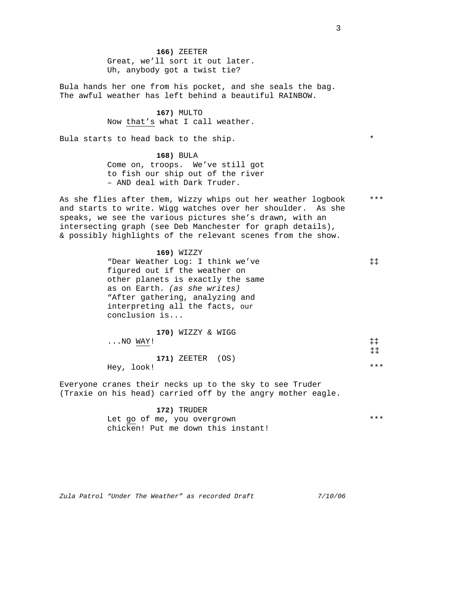**166)** ZEETER Great, we'll sort it out later. Uh, anybody got a twist tie?

Bula hands her one from his pocket, and she seals the bag. The awful weather has left behind a beautiful RAINBOW.

> **167)** MULTO Now that's what I call weather.

Bula starts to head back to the ship.

**168)** BULA Come on, troops. We've still got to fish our ship out of the river – AND deal with Dark Truder.

As she flies after them, Wizzy whips out her weather logbook and starts to write. Wigg watches over her shoulder. As she speaks, we see the various pictures she's drawn, with an intersecting graph (see Deb Manchester for graph details), & possibly highlights of the relevant scenes from the show. \*\*\*

> **169)** WIZZY "Dear Weather Log: I think we've figured out if the weather on other planets is exactly the same as on Earth. *(as she writes)*  "After gathering, analyzing and interpreting all the facts, our conclusion is... **170)** WIZZY & WIGG ‡‡ ‡‡

...NO WAY! **171)** ZEETER (OS) Hey, look! \*\*\* ‡‡

Everyone cranes their necks up to the sky to see Truder (Traxie on his head) carried off by the angry mother eagle.

#### **172)** TRUDER

Let go of me, you overgrown chicken! Put me down this instant! \*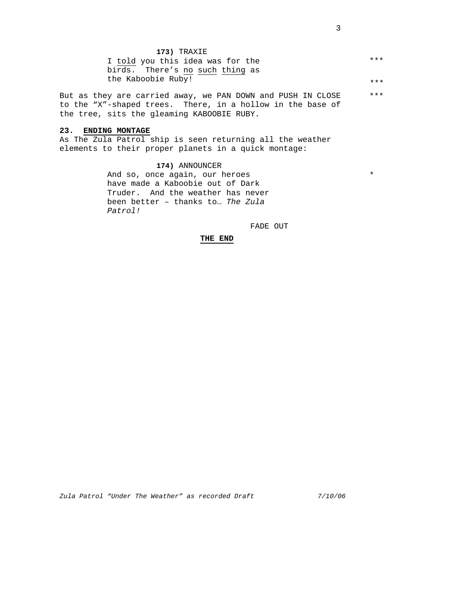| 173) TRAXIE                      |     |
|----------------------------------|-----|
| I told you this idea was for the | *** |
| birds. There's no such thing as  |     |
| the Kaboobie Ruby!               | *** |

But as they are carried away, we PAN DOWN and PUSH IN CLOSE to the "X"-shaped trees. There, in a hollow in the base of the tree, sits the gleaming KABOOBIE RUBY. \*\*\*

#### **23. ENDING MONTAGE**

As The Zula Patrol ship is seen returning all the weather elements to their proper planets in a quick montage:

> **174)** ANNOUNCER And so, once again, our heroes have made a Kaboobie out of Dark Truder. And the weather has never been better – thanks to… *The Zula Patrol!*

> > FADE OUT

# **THE END**

\*